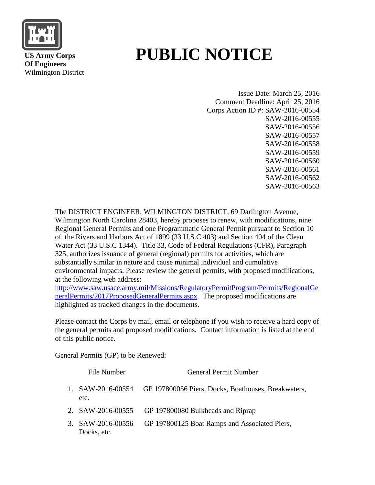

 **US Army Corps Of Engineers** Wilmington District

# **PUBLIC NOTICE**

Issue Date: March 25, 2016 Comment Deadline: April 25, 2016 Corps Action ID #: SAW-2016-00554 SAW-2016-00555 SAW-2016-00556 SAW-2016-00557 SAW-2016-00558 SAW-2016-00559 SAW-2016-00560 SAW-2016-00561 SAW-2016-00562 SAW-2016-00563

The DISTRICT ENGINEER, WILMINGTON DISTRICT, 69 Darlington Avenue, Wilmington North Carolina 28403, hereby proposes to renew, with modifications, nine Regional General Permits and one Programmatic General Permit pursuant to Section 10 of the Rivers and Harbors Act of 1899 (33 U.S.C 403) and Section 404 of the Clean Water Act (33 U.S.C 1344). Title 33, Code of Federal Regulations (CFR), Paragraph 325, authorizes issuance of general (regional) permits for activities, which are substantially similar in nature and cause minimal individual and cumulative environmental impacts. Please review the general permits, with proposed modifications, at the following web address:

[http://www.saw.usace.army.mil/Missions/RegulatoryPermitProgram/Permits/RegionalGe](http://www.saw.usace.army.mil/Missions/RegulatoryPermitProgram/Permits/RegionalGeneralPermits/2017ProposedGeneralPermits.aspx) [neralPermits/2017ProposedGeneralPermits.aspx.](http://www.saw.usace.army.mil/Missions/RegulatoryPermitProgram/Permits/RegionalGeneralPermits/2017ProposedGeneralPermits.aspx) The proposed modifications are highlighted as tracked changes in the documents.

Please contact the Corps by mail, email or telephone if you wish to receive a hard copy of the general permits and proposed modifications. Contact information is listed at the end of this public notice.

General Permits (GP) to be Renewed:

| File Number                      | <b>General Permit Number</b>                        |
|----------------------------------|-----------------------------------------------------|
| 1. $SAW-2016-00554$<br>etc.      | GP 197800056 Piers, Docks, Boathouses, Breakwaters, |
|                                  | 2. SAW-2016-00555 GP 197800080 Bulkheads and Riprap |
| 3. SAW-2016-00556<br>Docks, etc. | GP 197800125 Boat Ramps and Associated Piers,       |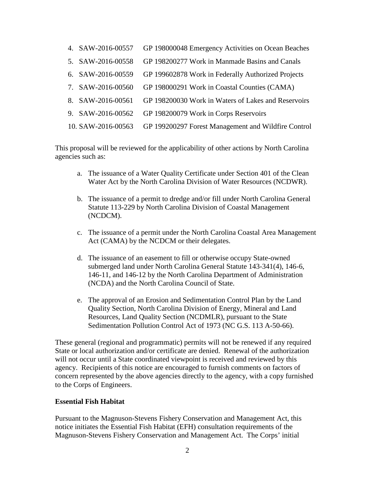- 4. SAW-2016-00557 GP 198000048 Emergency Activities on Ocean Beaches
- 5. SAW-2016-00558 GP 198200277 Work in Manmade Basins and Canals
- 6. SAW-2016-00559 GP 199602878 Work in Federally Authorized Projects
- 7. SAW-2016-00560 GP 198000291 Work in Coastal Counties (CAMA)
- 8. SAW-2016-00561 GP 198200030 Work in Waters of Lakes and Reservoirs
- 9. SAW-2016-00562 GP 198200079 Work in Corps Reservoirs
- 10. SAW-2016-00563 GP 199200297 Forest Management and Wildfire Control

This proposal will be reviewed for the applicability of other actions by North Carolina agencies such as:

- a. The issuance of a Water Quality Certificate under Section 401 of the Clean Water Act by the North Carolina Division of Water Resources (NCDWR).
- b. The issuance of a permit to dredge and/or fill under North Carolina General Statute 113-229 by North Carolina Division of Coastal Management (NCDCM).
- c. The issuance of a permit under the North Carolina Coastal Area Management Act (CAMA) by the NCDCM or their delegates.
- d. The issuance of an easement to fill or otherwise occupy State-owned submerged land under North Carolina General Statute 143-341(4), 146-6, 146-11, and 146-12 by the North Carolina Department of Administration (NCDA) and the North Carolina Council of State.
- e. The approval of an Erosion and Sedimentation Control Plan by the Land Quality Section, North Carolina Division of Energy, Mineral and Land Resources, Land Quality Section (NCDMLR), pursuant to the State Sedimentation Pollution Control Act of 1973 (NC G.S. 113 A-50-66).

These general (regional and programmatic) permits will not be renewed if any required State or local authorization and/or certificate are denied. Renewal of the authorization will not occur until a State coordinated viewpoint is received and reviewed by this agency. Recipients of this notice are encouraged to furnish comments on factors of concern represented by the above agencies directly to the agency, with a copy furnished to the Corps of Engineers.

#### **Essential Fish Habitat**

Pursuant to the Magnuson-Stevens Fishery Conservation and Management Act, this notice initiates the Essential Fish Habitat (EFH) consultation requirements of the Magnuson-Stevens Fishery Conservation and Management Act. The Corps' initial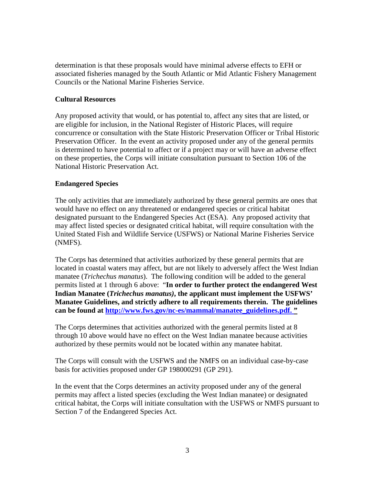determination is that these proposals would have minimal adverse effects to EFH or associated fisheries managed by the South Atlantic or Mid Atlantic Fishery Management Councils or the National Marine Fisheries Service.

## **Cultural Resources**

Any proposed activity that would, or has potential to, affect any sites that are listed, or are eligible for inclusion, in the National Register of Historic Places, will require concurrence or consultation with the State Historic Preservation Officer or Tribal Historic Preservation Officer. In the event an activity proposed under any of the general permits is determined to have potential to affect or if a project may or will have an adverse effect on these properties, the Corps will initiate consultation pursuant to Section 106 of the National Historic Preservation Act.

### **Endangered Species**

The only activities that are immediately authorized by these general permits are ones that would have no effect on any threatened or endangered species or critical habitat designated pursuant to the Endangered Species Act (ESA). Any proposed activity that may affect listed species or designated critical habitat, will require consultation with the United Stated Fish and Wildlife Service (USFWS) or National Marine Fisheries Service (NMFS).

The Corps has determined that activities authorized by these general permits that are located in coastal waters may affect, but are not likely to adversely affect the West Indian manatee (*Trichechus manatus*). The following condition will be added to the general permits listed at 1 through 6 above: "**In order to further protect the endangered West Indian Manatee (***Trichechus manatus)***, the applicant must implement the USFWS' Manatee Guidelines, and strictly adhere to all requirements therein. The guidelines can be found at [http://www.fws.gov/nc-es/mammal/manatee\\_guidelines.pdf.](http://www.fws.gov/nc-es/mammal/manatee_guidelines.pdf) "** 

The Corps determines that activities authorized with the general permits listed at 8 through 10 above would have no effect on the West Indian manatee because activities authorized by these permits would not be located within any manatee habitat.

The Corps will consult with the USFWS and the NMFS on an individual case-by-case basis for activities proposed under GP 198000291 (GP 291).

In the event that the Corps determines an activity proposed under any of the general permits may affect a listed species (excluding the West Indian manatee) or designated critical habitat, the Corps will initiate consultation with the USFWS or NMFS pursuant to Section 7 of the Endangered Species Act.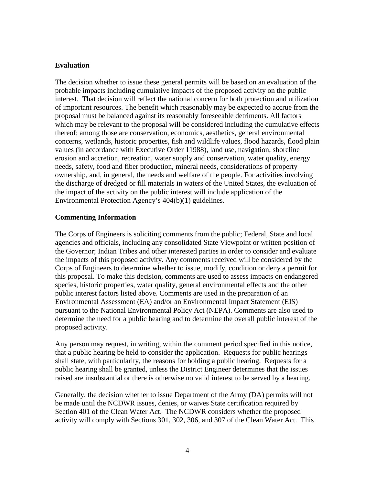### **Evaluation**

The decision whether to issue these general permits will be based on an evaluation of the probable impacts including cumulative impacts of the proposed activity on the public interest. That decision will reflect the national concern for both protection and utilization of important resources. The benefit which reasonably may be expected to accrue from the proposal must be balanced against its reasonably foreseeable detriments. All factors which may be relevant to the proposal will be considered including the cumulative effects thereof; among those are conservation, economics, aesthetics, general environmental concerns, wetlands, historic properties, fish and wildlife values, flood hazards, flood plain values (in accordance with Executive Order 11988), land use, navigation, shoreline erosion and accretion, recreation, water supply and conservation, water quality, energy needs, safety, food and fiber production, mineral needs, considerations of property ownership, and, in general, the needs and welfare of the people. For activities involving the discharge of dredged or fill materials in waters of the United States, the evaluation of the impact of the activity on the public interest will include application of the Environmental Protection Agency's 404(b)(1) guidelines.

### **Commenting Information**

The Corps of Engineers is soliciting comments from the public; Federal, State and local agencies and officials, including any consolidated State Viewpoint or written position of the Governor; Indian Tribes and other interested parties in order to consider and evaluate the impacts of this proposed activity. Any comments received will be considered by the Corps of Engineers to determine whether to issue, modify, condition or deny a permit for this proposal. To make this decision, comments are used to assess impacts on endangered species, historic properties, water quality, general environmental effects and the other public interest factors listed above. Comments are used in the preparation of an Environmental Assessment (EA) and/or an Environmental Impact Statement (EIS) pursuant to the National Environmental Policy Act (NEPA). Comments are also used to determine the need for a public hearing and to determine the overall public interest of the proposed activity.

Any person may request, in writing, within the comment period specified in this notice, that a public hearing be held to consider the application. Requests for public hearings shall state, with particularity, the reasons for holding a public hearing. Requests for a public hearing shall be granted, unless the District Engineer determines that the issues raised are insubstantial or there is otherwise no valid interest to be served by a hearing.

Generally, the decision whether to issue Department of the Army (DA) permits will not be made until the NCDWR issues, denies, or waives State certification required by Section 401 of the Clean Water Act. The NCDWR considers whether the proposed activity will comply with Sections 301, 302, 306, and 307 of the Clean Water Act. This